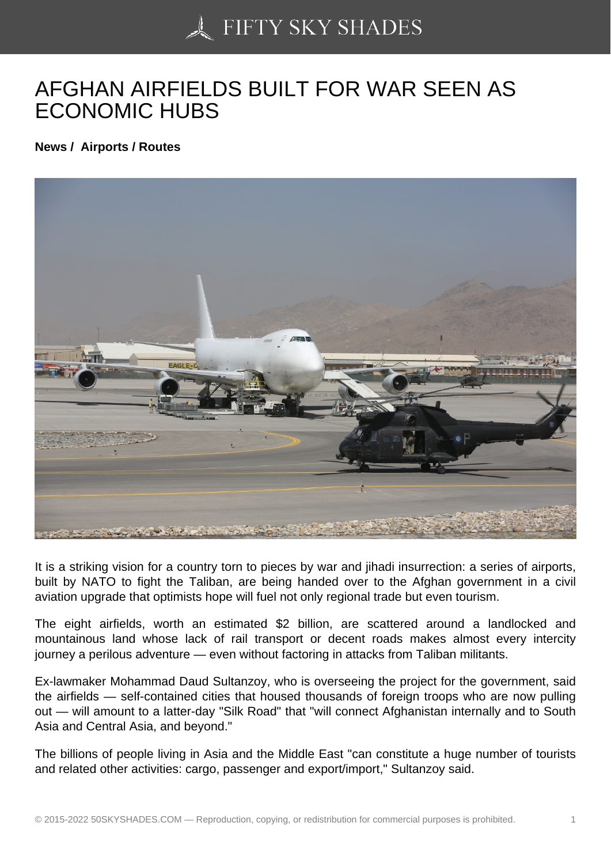## [AFGHAN AIRFIELDS B](https://50skyshades.com)UILT FOR WAR SEEN AS ECONOMIC HUBS

News / Airports / Routes

It is a striking vision for a country torn to pieces by war and jihadi insurrection: a series of airports, built by NATO to fight the Taliban, are being handed over to the Afghan government in a civil aviation upgrade that optimists hope will fuel not only regional trade but even tourism.

The eight airfields, worth an estimated \$2 billion, are scattered around a landlocked and mountainous land whose lack of rail transport or decent roads makes almost every intercity journey a perilous adventure — even without factoring in attacks from Taliban militants.

Ex-lawmaker Mohammad Daud Sultanzoy, who is overseeing the project for the government, said the airfields — self-contained cities that housed thousands of foreign troops who are now pulling out — will amount to a latter-day "Silk Road" that "will connect Afghanistan internally and to South Asia and Central Asia, and beyond."

The billions of people living in Asia and the Middle East "can constitute a huge number of tourists and related other activities: cargo, passenger and export/import," Sultanzoy said.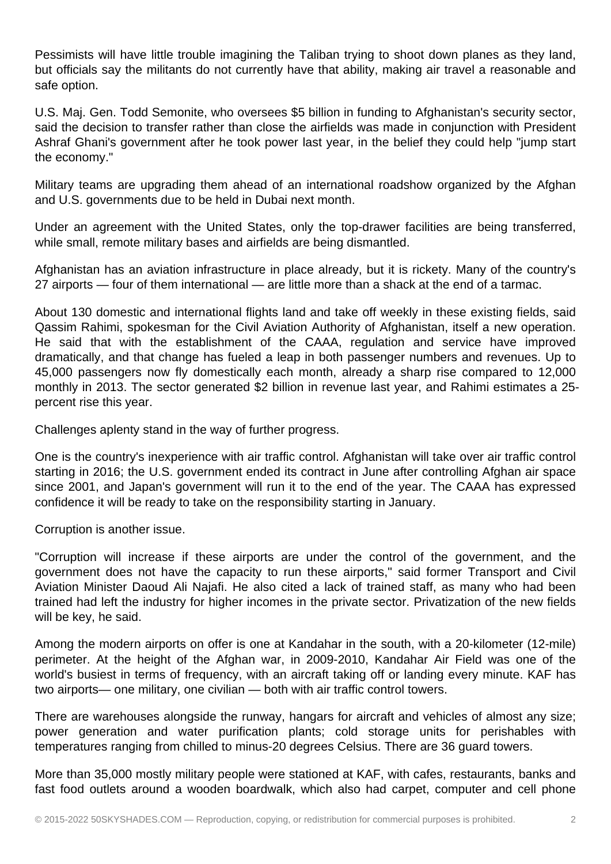Pessimists will have little trouble imagining the Taliban trying to shoot down planes as they land, but officials say the militants do not currently have that ability, making air travel a reasonable and safe option.

U.S. Maj. Gen. Todd Semonite, who oversees \$5 billion in funding to Afghanistan's security sector, said the decision to transfer rather than close the airfields was made in conjunction with President Ashraf Ghani's government after he took power last year, in the belief they could help "jump start the economy."

Military teams are upgrading them ahead of an international roadshow organized by the Afghan and U.S. governments due to be held in Dubai next month.

Under an agreement with the United States, only the top-drawer facilities are being transferred, while small, remote military bases and airfields are being dismantled.

Afghanistan has an aviation infrastructure in place already, but it is rickety. Many of the country's 27 airports — four of them international — are little more than a shack at the end of a tarmac.

About 130 domestic and international flights land and take off weekly in these existing fields, said Qassim Rahimi, spokesman for the Civil Aviation Authority of Afghanistan, itself a new operation. He said that with the establishment of the CAAA, regulation and service have improved dramatically, and that change has fueled a leap in both passenger numbers and revenues. Up to 45,000 passengers now fly domestically each month, already a sharp rise compared to 12,000 monthly in 2013. The sector generated \$2 billion in revenue last year, and Rahimi estimates a 25 percent rise this year.

Challenges aplenty stand in the way of further progress.

One is the country's inexperience with air traffic control. Afghanistan will take over air traffic control starting in 2016; the U.S. government ended its contract in June after controlling Afghan air space since 2001, and Japan's government will run it to the end of the year. The CAAA has expressed confidence it will be ready to take on the responsibility starting in January.

Corruption is another issue.

"Corruption will increase if these airports are under the control of the government, and the government does not have the capacity to run these airports," said former Transport and Civil Aviation Minister Daoud Ali Najafi. He also cited a lack of trained staff, as many who had been trained had left the industry for higher incomes in the private sector. Privatization of the new fields will be key, he said.

Among the modern airports on offer is one at Kandahar in the south, with a 20-kilometer (12-mile) perimeter. At the height of the Afghan war, in 2009-2010, Kandahar Air Field was one of the world's busiest in terms of frequency, with an aircraft taking off or landing every minute. KAF has two airports— one military, one civilian — both with air traffic control towers.

There are warehouses alongside the runway, hangars for aircraft and vehicles of almost any size; power generation and water purification plants; cold storage units for perishables with temperatures ranging from chilled to minus-20 degrees Celsius. There are 36 guard towers.

More than 35,000 mostly military people were stationed at KAF, with cafes, restaurants, banks and fast food outlets around a wooden boardwalk, which also had carpet, computer and cell phone